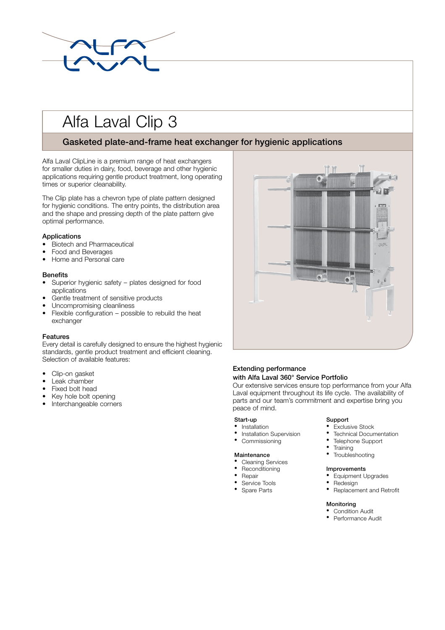

# Alfa Laval Clip 3

## **Gasketed plate-and-frame heat exchanger for hygienic applications**

Alfa Laval ClipLine is a premium range of heat exchangers for smaller duties in dairy, food, beverage and other hygienic applications requiring gentle product treatment, long operating times or superior cleanability.

The Clip plate has a chevron type of plate pattern designed for hygienic conditions. The entry points, the distribution area and the shape and pressing depth of the plate pattern give optimal performance.

## **Applications**

- Biotech and Pharmaceutical
- Food and Beverages
- Home and Personal care

## **Benefits**

- Superior hygienic safety plates designed for food applications
- Gentle treatment of sensitive products
- Uncompromising cleanliness
- Flexible configuration possible to rebuild the heat exchanger

## **Features**

Every detail is carefully designed to ensure the highest hygienic standards, gentle product treatment and efficient cleaning. Selection of available features:

- $\bullet$ Clip-on gasket
- Leak chamber
- Fixed bolt head
- Key hole bolt opening
- Interchangeable corners



## **Extending performance**

### **with Alfa Laval 360° Service Portfolio**

Our extensive services ensure top performance from your Alfa Laval equipment throughout its life cycle. The availability of parts and our team's commitment and expertise bring you peace of mind.

- **Start-up Support** • Installation • Exclusive Stock
- 
- 

- Cleaning Services
- 
- 
- 
- 

- 
- Installation Supervision Technical Documentation<br>• Commissioning Telephone Support
	- Telephone Support • Training
	-
- **Maintenance** Troubleshooting

## • Reconditioning **Improvements**

- **Propair** Equipment Upgrades
- Service Tools Redesign
- Spare Parts Replacement and Retrofit

## **Monitoring**<br>• Condition Audit

- Performance Audit
-